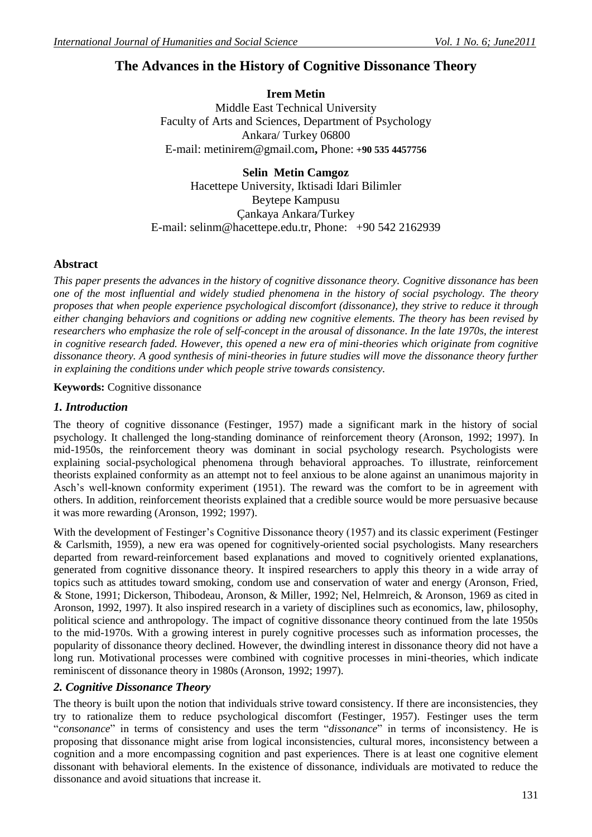# **The Advances in the History of Cognitive Dissonance Theory**

**Irem Metin** Middle East Technical University Faculty of Arts and Sciences, Department of Psychology Ankara/ Turkey 06800 E-mail: [metinirem@gmail.com](https://mail.google.com/mail/h/3n97mphi94wb/?v=b&cs=wh&to=metinirem@gmail.com)**,** Phone: **[+90 535 4457756](tel:%2B90%20535%204457756)**

**Selin Metin Camgoz** Hacettepe University, Iktisadi Idari Bilimler Beytepe Kampusu Çankaya Ankara/Turkey E-mail: [selinm@hacettepe.edu.tr,](mailto:selinm@hacettepe.edu.tr) Phone: +90 542 2162939

### **Abstract**

*This paper presents the advances in the history of cognitive dissonance theory. Cognitive dissonance has been one of the most influential and widely studied phenomena in the history of social psychology. The theory proposes that when people experience psychological discomfort (dissonance), they strive to reduce it through either changing behaviors and cognitions or adding new cognitive elements. The theory has been revised by researchers who emphasize the role of self-concept in the arousal of dissonance. In the late 1970s, the interest in cognitive research faded. However, this opened a new era of mini-theories which originate from cognitive dissonance theory. A good synthesis of mini-theories in future studies will move the dissonance theory further in explaining the conditions under which people strive towards consistency.* 

**Keywords:** Cognitive dissonance

### *1. Introduction*

The theory of cognitive dissonance (Festinger, 1957) made a significant mark in the history of social psychology. It challenged the long-standing dominance of reinforcement theory (Aronson, 1992; 1997). In mid-1950s, the reinforcement theory was dominant in social psychology research. Psychologists were explaining social-psychological phenomena through behavioral approaches. To illustrate, reinforcement theorists explained conformity as an attempt not to feel anxious to be alone against an unanimous majority in Asch"s well-known conformity experiment (1951). The reward was the comfort to be in agreement with others. In addition, reinforcement theorists explained that a credible source would be more persuasive because it was more rewarding (Aronson, 1992; 1997).

With the development of Festinger's Cognitive Dissonance theory (1957) and its classic experiment (Festinger & Carlsmith, 1959), a new era was opened for cognitively-oriented social psychologists. Many researchers departed from reward-reinforcement based explanations and moved to cognitively oriented explanations, generated from cognitive dissonance theory. It inspired researchers to apply this theory in a wide array of topics such as attitudes toward smoking, condom use and conservation of water and energy (Aronson, Fried, & Stone, 1991; Dickerson, Thibodeau, Aronson, & Miller, 1992; Nel, Helmreich, & Aronson, 1969 as cited in Aronson, 1992, 1997). It also inspired research in a variety of disciplines such as economics, law, philosophy, political science and anthropology. The impact of cognitive dissonance theory continued from the late 1950s to the mid-1970s. With a growing interest in purely cognitive processes such as information processes, the popularity of dissonance theory declined. However, the dwindling interest in dissonance theory did not have a long run. Motivational processes were combined with cognitive processes in mini-theories, which indicate reminiscent of dissonance theory in 1980s (Aronson, 1992; 1997).

## *2. Cognitive Dissonance Theory*

The theory is built upon the notion that individuals strive toward consistency. If there are inconsistencies, they try to rationalize them to reduce psychological discomfort (Festinger, 1957). Festinger uses the term "*consonance*" in terms of consistency and uses the term "*dissonance*" in terms of inconsistency. He is proposing that dissonance might arise from logical inconsistencies, cultural mores, inconsistency between a cognition and a more encompassing cognition and past experiences. There is at least one cognitive element dissonant with behavioral elements. In the existence of dissonance, individuals are motivated to reduce the dissonance and avoid situations that increase it.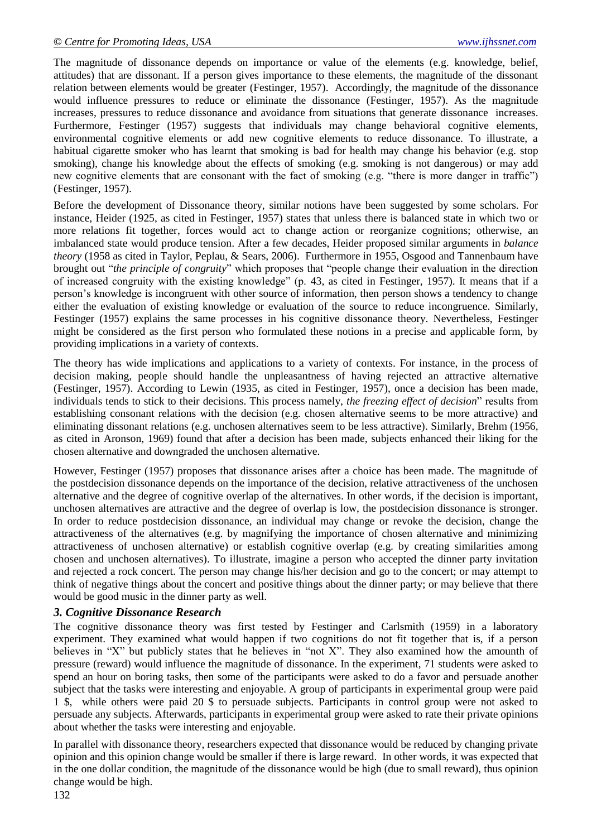The magnitude of dissonance depends on importance or value of the elements (e.g. knowledge, belief, attitudes) that are dissonant. If a person gives importance to these elements, the magnitude of the dissonant relation between elements would be greater (Festinger, 1957). Accordingly, the magnitude of the dissonance would influence pressures to reduce or eliminate the dissonance (Festinger, 1957). As the magnitude increases, pressures to reduce dissonance and avoidance from situations that generate dissonance increases. Furthermore, Festinger (1957) suggests that individuals may change behavioral cognitive elements, environmental cognitive elements or add new cognitive elements to reduce dissonance. To illustrate, a habitual cigarette smoker who has learnt that smoking is bad for health may change his behavior (e.g. stop smoking), change his knowledge about the effects of smoking (e.g. smoking is not dangerous) or may add new cognitive elements that are consonant with the fact of smoking (e.g. "there is more danger in traffic") (Festinger, 1957).

Before the development of Dissonance theory, similar notions have been suggested by some scholars. For instance, Heider (1925, as cited in Festinger, 1957) states that unless there is balanced state in which two or more relations fit together, forces would act to change action or reorganize cognitions; otherwise, an imbalanced state would produce tension. After a few decades, Heider proposed similar arguments in *balance theory* (1958 as cited in Taylor, Peplau, & Sears, 2006). Furthermore in 1955, Osgood and Tannenbaum have brought out "*the principle of congruity*" which proposes that "people change their evaluation in the direction of increased congruity with the existing knowledge" (p. 43, as cited in Festinger, 1957). It means that if a person"s knowledge is incongruent with other source of information, then person shows a tendency to change either the evaluation of existing knowledge or evaluation of the source to reduce incongruence. Similarly, Festinger (1957) explains the same processes in his cognitive dissonance theory. Nevertheless, Festinger might be considered as the first person who formulated these notions in a precise and applicable form, by providing implications in a variety of contexts.

The theory has wide implications and applications to a variety of contexts. For instance, in the process of decision making, people should handle the unpleasantness of having rejected an attractive alternative (Festinger, 1957). According to Lewin (1935, as cited in Festinger, 1957), once a decision has been made, individuals tends to stick to their decisions. This process namely, *the freezing effect of decision*" results from establishing consonant relations with the decision (e.g. chosen alternative seems to be more attractive) and eliminating dissonant relations (e.g. unchosen alternatives seem to be less attractive). Similarly, Brehm (1956, as cited in Aronson, 1969) found that after a decision has been made, subjects enhanced their liking for the chosen alternative and downgraded the unchosen alternative.

However, Festinger (1957) proposes that dissonance arises after a choice has been made. The magnitude of the postdecision dissonance depends on the importance of the decision, relative attractiveness of the unchosen alternative and the degree of cognitive overlap of the alternatives. In other words, if the decision is important, unchosen alternatives are attractive and the degree of overlap is low, the postdecision dissonance is stronger. In order to reduce postdecision dissonance, an individual may change or revoke the decision, change the attractiveness of the alternatives (e.g. by magnifying the importance of chosen alternative and minimizing attractiveness of unchosen alternative) or establish cognitive overlap (e.g. by creating similarities among chosen and unchosen alternatives). To illustrate, imagine a person who accepted the dinner party invitation and rejected a rock concert. The person may change his/her decision and go to the concert; or may attempt to think of negative things about the concert and positive things about the dinner party; or may believe that there would be good music in the dinner party as well.

#### *3. Cognitive Dissonance Research*

The cognitive dissonance theory was first tested by Festinger and Carlsmith (1959) in a laboratory experiment. They examined what would happen if two cognitions do not fit together that is, if a person believes in "X" but publicly states that he believes in "not X". They also examined how the amounth of pressure (reward) would influence the magnitude of dissonance. In the experiment, 71 students were asked to spend an hour on boring tasks, then some of the participants were asked to do a favor and persuade another subject that the tasks were interesting and enjoyable. A group of participants in experimental group were paid 1 \$, while others were paid 20 \$ to persuade subjects. Participants in control group were not asked to persuade any subjects. Afterwards, participants in experimental group were asked to rate their private opinions about whether the tasks were interesting and enjoyable.

In parallel with dissonance theory, researchers expected that dissonance would be reduced by changing private opinion and this opinion change would be smaller if there is large reward. In other words, it was expected that in the one dollar condition, the magnitude of the dissonance would be high (due to small reward), thus opinion change would be high.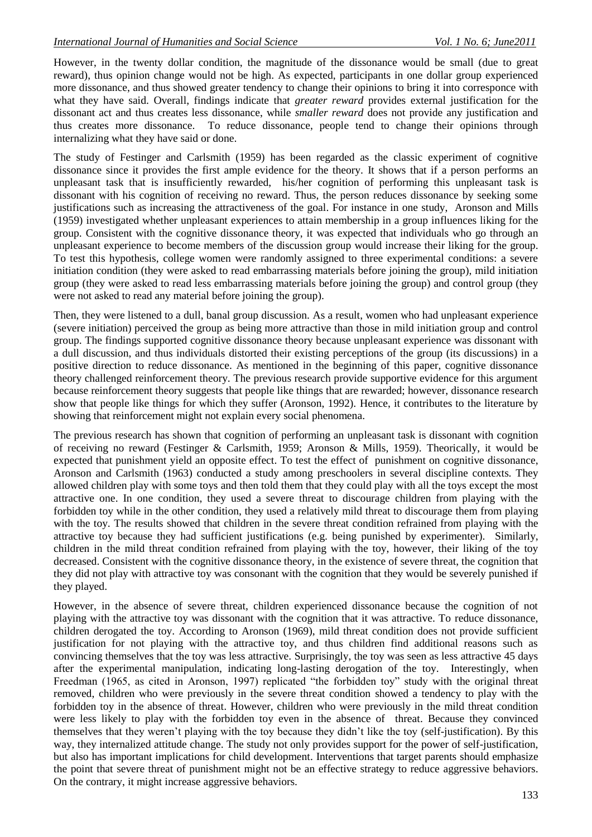However, in the twenty dollar condition, the magnitude of the dissonance would be small (due to great reward), thus opinion change would not be high. As expected, participants in one dollar group experienced more dissonance, and thus showed greater tendency to change their opinions to bring it into corresponce with what they have said. Overall, findings indicate that *greater reward* provides external justification for the dissonant act and thus creates less dissonance, while *smaller reward* does not provide any justification and thus creates more dissonance. To reduce dissonance, people tend to change their opinions through internalizing what they have said or done.

The study of Festinger and Carlsmith (1959) has been regarded as the classic experiment of cognitive dissonance since it provides the first ample evidence for the theory. It shows that if a person performs an unpleasant task that is insufficiently rewarded, his/her cognition of performing this unpleasant task is dissonant with his cognition of receiving no reward. Thus, the person reduces dissonance by seeking some justifications such as increasing the attractiveness of the goal. For instance in one study, Aronson and Mills (1959) investigated whether unpleasant experiences to attain membership in a group influences liking for the group. Consistent with the cognitive dissonance theory, it was expected that individuals who go through an unpleasant experience to become members of the discussion group would increase their liking for the group. To test this hypothesis, college women were randomly assigned to three experimental conditions: a severe initiation condition (they were asked to read embarrassing materials before joining the group), mild initiation group (they were asked to read less embarrassing materials before joining the group) and control group (they were not asked to read any material before joining the group).

Then, they were listened to a dull, banal group discussion. As a result, women who had unpleasant experience (severe initiation) perceived the group as being more attractive than those in mild initiation group and control group. The findings supported cognitive dissonance theory because unpleasant experience was dissonant with a dull discussion, and thus individuals distorted their existing perceptions of the group (its discussions) in a positive direction to reduce dissonance. As mentioned in the beginning of this paper, cognitive dissonance theory challenged reinforcement theory. The previous research provide supportive evidence for this argument because reinforcement theory suggests that people like things that are rewarded; however, dissonance research show that people like things for which they suffer (Aronson, 1992). Hence, it contributes to the literature by showing that reinforcement might not explain every social phenomena.

The previous research has shown that cognition of performing an unpleasant task is dissonant with cognition of receiving no reward (Festinger & Carlsmith, 1959; Aronson & Mills, 1959). Theorically, it would be expected that punishment yield an opposite effect. To test the effect of punishment on cognitive dissonance, Aronson and Carlsmith (1963) conducted a study among preschoolers in several discipline contexts. They allowed children play with some toys and then told them that they could play with all the toys except the most attractive one. In one condition, they used a severe threat to discourage children from playing with the forbidden toy while in the other condition, they used a relatively mild threat to discourage them from playing with the toy. The results showed that children in the severe threat condition refrained from playing with the attractive toy because they had sufficient justifications (e.g. being punished by experimenter). Similarly, children in the mild threat condition refrained from playing with the toy, however, their liking of the toy decreased. Consistent with the cognitive dissonance theory, in the existence of severe threat, the cognition that they did not play with attractive toy was consonant with the cognition that they would be severely punished if they played.

However, in the absence of severe threat, children experienced dissonance because the cognition of not playing with the attractive toy was dissonant with the cognition that it was attractive. To reduce dissonance, children derogated the toy. According to Aronson (1969), mild threat condition does not provide sufficient justification for not playing with the attractive toy, and thus children find additional reasons such as convincing themselves that the toy was less attractive. Surprisingly, the toy was seen as less attractive 45 days after the experimental manipulation, indicating long-lasting derogation of the toy. Interestingly, when Freedman (1965, as cited in Aronson, 1997) replicated "the forbidden toy" study with the original threat removed, children who were previously in the severe threat condition showed a tendency to play with the forbidden toy in the absence of threat. However, children who were previously in the mild threat condition were less likely to play with the forbidden toy even in the absence of threat. Because they convinced themselves that they weren"t playing with the toy because they didn"t like the toy (self-justification). By this way, they internalized attitude change. The study not only provides support for the power of self-justification, but also has important implications for child development. Interventions that target parents should emphasize the point that severe threat of punishment might not be an effective strategy to reduce aggressive behaviors. On the contrary, it might increase aggressive behaviors.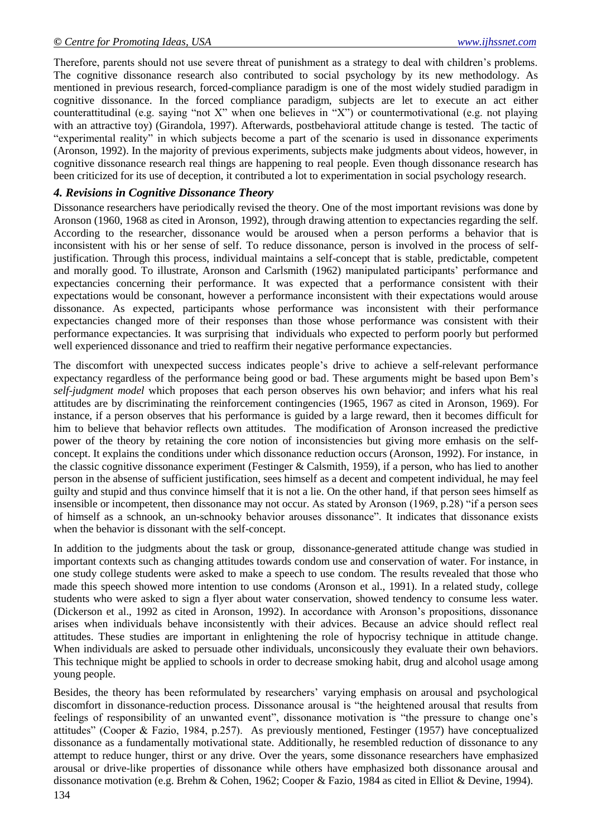Therefore, parents should not use severe threat of punishment as a strategy to deal with children"s problems. The cognitive dissonance research also contributed to social psychology by its new methodology. As mentioned in previous research, forced-compliance paradigm is one of the most widely studied paradigm in cognitive dissonance. In the forced compliance paradigm, subjects are let to execute an act either counterattitudinal (e.g. saying "not X" when one believes in "X") or countermotivational (e.g. not playing with an attractive toy) (Girandola, 1997). Afterwards, postbehavioral attitude change is tested. The tactic of "experimental reality" in which subjects become a part of the scenario is used in dissonance experiments (Aronson, 1992). In the majority of previous experiments, subjects make judgments about videos, however, in cognitive dissonance research real things are happening to real people. Even though dissonance research has been criticized for its use of deception, it contributed a lot to experimentation in social psychology research.

#### *4. Revisions in Cognitive Dissonance Theory*

Dissonance researchers have periodically revised the theory. One of the most important revisions was done by Aronson (1960, 1968 as cited in Aronson, 1992), through drawing attention to expectancies regarding the self. According to the researcher, dissonance would be aroused when a person performs a behavior that is inconsistent with his or her sense of self. To reduce dissonance, person is involved in the process of selfjustification. Through this process, individual maintains a self-concept that is stable, predictable, competent and morally good. To illustrate, Aronson and Carlsmith (1962) manipulated participants" performance and expectancies concerning their performance. It was expected that a performance consistent with their expectations would be consonant, however a performance inconsistent with their expectations would arouse dissonance. As expected, participants whose performance was inconsistent with their performance expectancies changed more of their responses than those whose performance was consistent with their performance expectancies. It was surprising that individuals who expected to perform poorly but performed well experienced dissonance and tried to reaffirm their negative performance expectancies.

The discomfort with unexpected success indicates people"s drive to achieve a self-relevant performance expectancy regardless of the performance being good or bad. These arguments might be based upon Bem"s *self-judgment model* which proposes that each person observes his own behavior; and infers what his real attitudes are by discriminating the reinforcement contingencies (1965, 1967 as cited in Aronson, 1969). For instance, if a person observes that his performance is guided by a large reward, then it becomes difficult for him to believe that behavior reflects own attitudes. The modification of Aronson increased the predictive power of the theory by retaining the core notion of inconsistencies but giving more emhasis on the selfconcept. It explains the conditions under which dissonance reduction occurs (Aronson, 1992). For instance, in the classic cognitive dissonance experiment (Festinger & Calsmith, 1959), if a person, who has lied to another person in the absense of sufficient justification, sees himself as a decent and competent individual, he may feel guilty and stupid and thus convince himself that it is not a lie. On the other hand, if that person sees himself as insensible or incompetent, then dissonance may not occur. As stated by Aronson (1969, p.28) "if a person sees of himself as a schnook, an un-schnooky behavior arouses dissonance". It indicates that dissonance exists when the behavior is dissonant with the self-concept.

In addition to the judgments about the task or group, dissonance-generated attitude change was studied in important contexts such as changing attitudes towards condom use and conservation of water. For instance, in one study college students were asked to make a speech to use condom. The results revealed that those who made this speech showed more intention to use condoms (Aronson et al., 1991). In a related study, college students who were asked to sign a flyer about water conservation, showed tendency to consume less water. (Dickerson et al., 1992 as cited in Aronson, 1992). In accordance with Aronson"s propositions, dissonance arises when individuals behave inconsistently with their advices. Because an advice should reflect real attitudes. These studies are important in enlightening the role of hypocrisy technique in attitude change. When individuals are asked to persuade other individuals, unconsicously they evaluate their own behaviors. This technique might be applied to schools in order to decrease smoking habit, drug and alcohol usage among young people.

Besides, the theory has been reformulated by researchers' varying emphasis on arousal and psychological discomfort in dissonance-reduction process. Dissonance arousal is "the heightened arousal that results from feelings of responsibility of an unwanted event", dissonance motivation is "the pressure to change one"s attitudes" (Cooper & Fazio, 1984, p.257). As previously mentioned, Festinger (1957) have conceptualized dissonance as a fundamentally motivational state. Additionally, he resembled reduction of dissonance to any attempt to reduce hunger, thirst or any drive. Over the years, some dissonance researchers have emphasized arousal or drive-like properties of dissonance while others have emphasized both dissonance arousal and dissonance motivation (e.g. Brehm & Cohen, 1962; Cooper & Fazio, 1984 as cited in Elliot & Devine, 1994).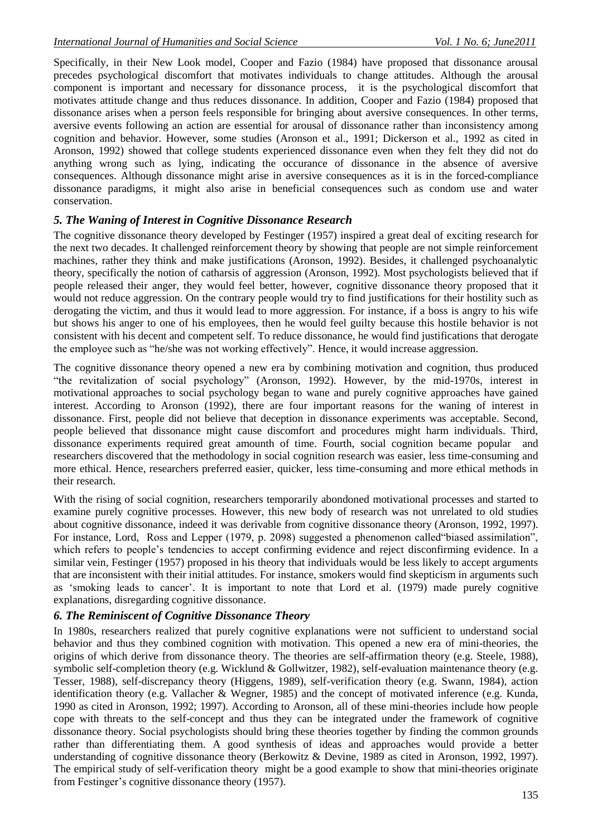Specifically, in their New Look model, Cooper and Fazio (1984) have proposed that dissonance arousal precedes psychological discomfort that motivates individuals to change attitudes. Although the arousal component is important and necessary for dissonance process, it is the psychological discomfort that motivates attitude change and thus reduces dissonance. In addition, Cooper and Fazio (1984) proposed that dissonance arises when a person feels responsible for bringing about aversive consequences. In other terms, aversive events following an action are essential for arousal of dissonance rather than inconsistency among cognition and behavior. However, some studies (Aronson et al., 1991; Dickerson et al., 1992 as cited in Aronson, 1992) showed that college students experienced dissonance even when they felt they did not do anything wrong such as lying, indicating the occurance of dissonance in the absence of aversive consequences. Although dissonance might arise in aversive consequences as it is in the forced-compliance dissonance paradigms, it might also arise in beneficial consequences such as condom use and water conservation.

## *5. The Waning of Interest in Cognitive Dissonance Research*

The cognitive dissonance theory developed by Festinger (1957) inspired a great deal of exciting research for the next two decades. It challenged reinforcement theory by showing that people are not simple reinforcement machines, rather they think and make justifications (Aronson, 1992). Besides, it challenged psychoanalytic theory, specifically the notion of catharsis of aggression (Aronson, 1992). Most psychologists believed that if people released their anger, they would feel better, however, cognitive dissonance theory proposed that it would not reduce aggression. On the contrary people would try to find justifications for their hostility such as derogating the victim, and thus it would lead to more aggression. For instance, if a boss is angry to his wife but shows his anger to one of his employees, then he would feel guilty because this hostile behavior is not consistent with his decent and competent self. To reduce dissonance, he would find justifications that derogate the employee such as "he/she was not working effectively". Hence, it would increase aggression.

The cognitive dissonance theory opened a new era by combining motivation and cognition, thus produced "the revitalization of social psychology" (Aronson, 1992). However, by the mid-1970s, interest in motivational approaches to social psychology began to wane and purely cognitive approaches have gained interest. According to Aronson (1992), there are four important reasons for the waning of interest in dissonance. First, people did not believe that deception in dissonance experiments was acceptable. Second, people believed that dissonance might cause discomfort and procedures might harm individuals. Third, dissonance experiments required great amounth of time. Fourth, social cognition became popular and researchers discovered that the methodology in social cognition research was easier, less time-consuming and more ethical. Hence, researchers preferred easier, quicker, less time-consuming and more ethical methods in their research.

With the rising of social cognition, researchers temporarily abondoned motivational processes and started to examine purely cognitive processes. However, this new body of research was not unrelated to old studies about cognitive dissonance, indeed it was derivable from cognitive dissonance theory (Aronson, 1992, 1997). For instance, Lord, Ross and Lepper (1979, p. 2098) suggested a phenomenon called "biased assimilation", which refers to people's tendencies to accept confirming evidence and reject disconfirming evidence. In a similar vein, Festinger (1957) proposed in his theory that individuals would be less likely to accept arguments that are inconsistent with their initial attitudes. For instance, smokers would find skepticism in arguments such as 'smoking leads to cancer'. It is important to note that Lord et al. (1979) made purely cognitive explanations, disregarding cognitive dissonance.

## *6. The Reminiscent of Cognitive Dissonance Theory*

In 1980s, researchers realized that purely cognitive explanations were not sufficient to understand social behavior and thus they combined cognition with motivation. This opened a new era of mini-theories, the origins of which derive from dissonance theory. The theories are self-affirmation theory (e.g. Steele, 1988), symbolic self-completion theory (e.g. Wicklund & Gollwitzer, 1982), self-evaluation maintenance theory (e.g. Tesser, 1988), self-discrepancy theory (Higgens, 1989), self-verification theory (e.g. Swann, 1984), action identification theory (e.g. Vallacher & Wegner, 1985) and the concept of motivated inference (e.g. Kunda, 1990 as cited in Aronson, 1992; 1997). According to Aronson, all of these mini-theories include how people cope with threats to the self-concept and thus they can be integrated under the framework of cognitive dissonance theory. Social psychologists should bring these theories together by finding the common grounds rather than differentiating them. A good synthesis of ideas and approaches would provide a better understanding of cognitive dissonance theory (Berkowitz & Devine, 1989 as cited in Aronson, 1992, 1997). The empirical study of self-verification theory might be a good example to show that mini-theories originate from Festinger's cognitive dissonance theory (1957).